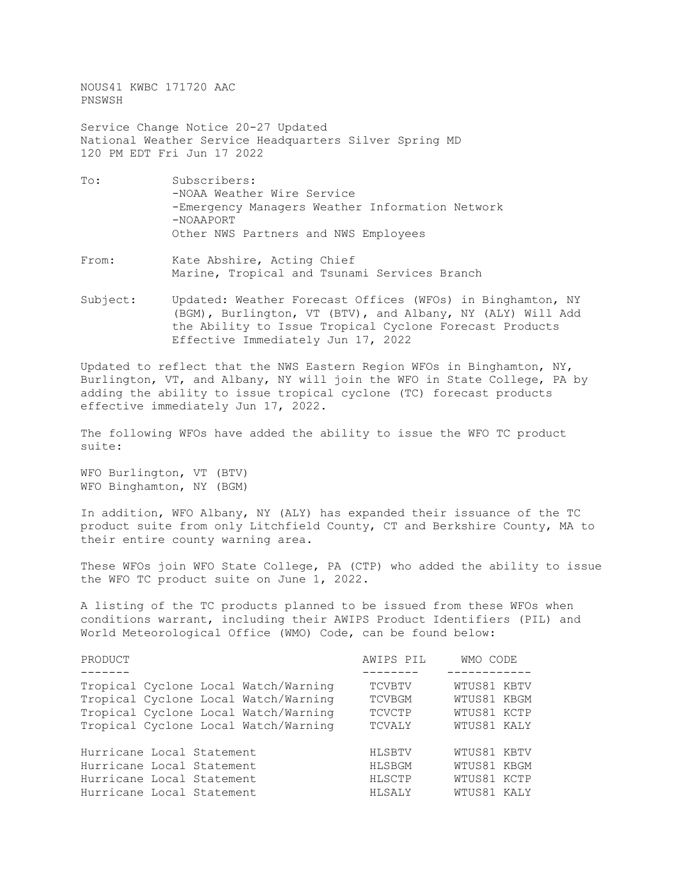NOUS41 KWBC 171720 AAC PNSWSH

Service Change Notice 20-27 Updated National Weather Service Headquarters Silver Spring MD 120 PM EDT Fri Jun 17 2022

- To: Subscribers: -NOAA Weather Wire Service -Emergency Managers Weather Information Network -NOAAPORT Other NWS Partners and NWS Employees
- From: Kate Abshire, Acting Chief Marine, Tropical and Tsunami Services Branch
- Subject: Updated: Weather Forecast Offices (WFOs) in Binghamton, NY (BGM), Burlington, VT (BTV), and Albany, NY (ALY) Will Add the Ability to Issue Tropical Cyclone Forecast Products Effective Immediately Jun 17, 2022

Updated to reflect that the NWS Eastern Region WFOs in Binghamton, NY, Burlington, VT, and Albany, NY will join the WFO in State College, PA by adding the ability to issue tropical cyclone (TC) forecast products effective immediately Jun 17, 2022.

The following WFOs have added the ability to issue the WFO TC product suite:

WFO Burlington, VT (BTV) WFO Binghamton, NY (BGM)

In addition, WFO Albany, NY (ALY) has expanded their issuance of the TC product suite from only Litchfield County, CT and Berkshire County, MA to their entire county warning area.

These WFOs join WFO State College, PA (CTP) who added the ability to issue the WFO TC product suite on June 1, 2022.

A listing of the TC products planned to be issued from these WFOs when conditions warrant, including their AWIPS Product Identifiers (PIL) and World Meteorological Office (WMO) Code, can be found below:

| AWIPS PIL     | WMO CODE    |
|---------------|-------------|
|               |             |
| <b>TCVBTV</b> | WTUS81 KBTV |
| TCVBGM        | WTUS81 KBGM |
| TCVCTP        | WTUS81 KCTP |
| TCVALY        | WTUS81 KALY |
|               |             |
| HLSBTV        | WTUS81 KBTV |
| HLSBGM        | WTUS81 KBGM |
| HLSCTP        | WTUS81 KCTP |
| HLSALY        | WTUS81 KALY |
|               |             |